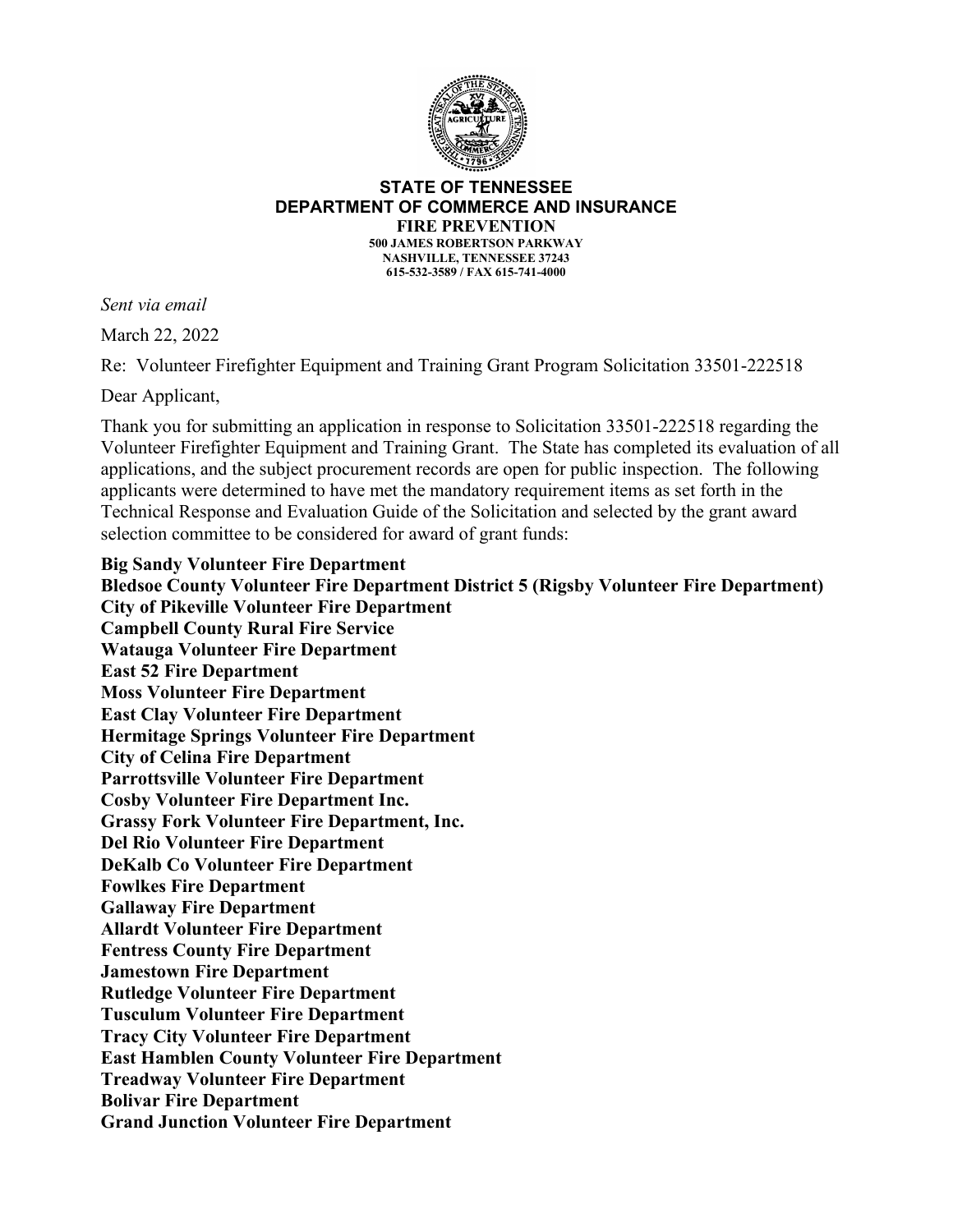

## **STATE OF TENNESSEE DEPARTMENT OF COMMERCE AND INSURANCE FIRE PREVENTION**

**500 JAMES ROBERTSON PARKWAY NASHVILLE, TENNESSEE 37243 615-532-3589 / FAX 615-741-4000**

*Sent via email*

March 22, 2022

Re: Volunteer Firefighter Equipment and Training Grant Program Solicitation 33501-222518

Dear Applicant,

Thank you for submitting an application in response to Solicitation 33501-222518 regarding the Volunteer Firefighter Equipment and Training Grant. The State has completed its evaluation of all applications, and the subject procurement records are open for public inspection. The following applicants were determined to have met the mandatory requirement items as set forth in the Technical Response and Evaluation Guide of the Solicitation and selected by the grant award selection committee to be considered for award of grant funds:

**Big Sandy Volunteer Fire Department Bledsoe County Volunteer Fire Department District 5 (Rigsby Volunteer Fire Department) City of Pikeville Volunteer Fire Department Campbell County Rural Fire Service Watauga Volunteer Fire Department East 52 Fire Department Moss Volunteer Fire Department East Clay Volunteer Fire Department Hermitage Springs Volunteer Fire Department City of Celina Fire Department Parrottsville Volunteer Fire Department Cosby Volunteer Fire Department Inc. Grassy Fork Volunteer Fire Department, Inc. Del Rio Volunteer Fire Department DeKalb Co Volunteer Fire Department Fowlkes Fire Department Gallaway Fire Department Allardt Volunteer Fire Department Fentress County Fire Department Jamestown Fire Department Rutledge Volunteer Fire Department Tusculum Volunteer Fire Department Tracy City Volunteer Fire Department East Hamblen County Volunteer Fire Department Treadway Volunteer Fire Department Bolivar Fire Department Grand Junction Volunteer Fire Department**